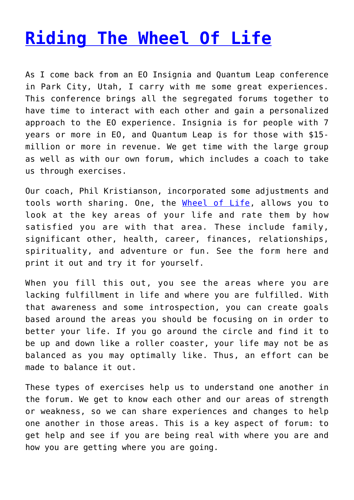## **[Riding The Wheel Of Life](http://anentrepreneurialjourney.com/riding-the-wheel-of-life/)**

As I come back from an EO Insignia and Quantum Leap conference in Park City, Utah, I carry with me some great experiences. This conference brings all the segregated forums together to have time to interact with each other and gain a personalized approach to the EO experience. Insignia is for people with 7 years or more in EO, and Quantum Leap is for those with \$15 million or more in revenue. We get time with the large group as well as with our own forum, which includes a coach to take us through exercises.

Our coach, Phil Kristianson, incorporated some adjustments and tools worth sharing. One, the [Wheel of Life,](http://dev.flockgps.com/WHEEL%20OF%20LIFE%20v9%20WITH%20VISION.pdf) allows you to look at the key areas of your life and rate them by how satisfied you are with that area. These include family, significant other, health, career, finances, relationships, spirituality, and adventure or fun. See the form here and print it out and try it for yourself.

When you fill this out, you see the areas where you are lacking fulfillment in life and where you are fulfilled. With that awareness and some introspection, you can create goals based around the areas you should be focusing on in order to better your life. If you go around the circle and find it to be up and down like a roller coaster, your life may not be as balanced as you may optimally like. Thus, an effort can be made to balance it out.

These types of exercises help us to understand one another in the forum. We get to know each other and our areas of strength or weakness, so we can share experiences and changes to help one another in those areas. This is a key aspect of forum: to get help and see if you are being real with where you are and how you are getting where you are going.